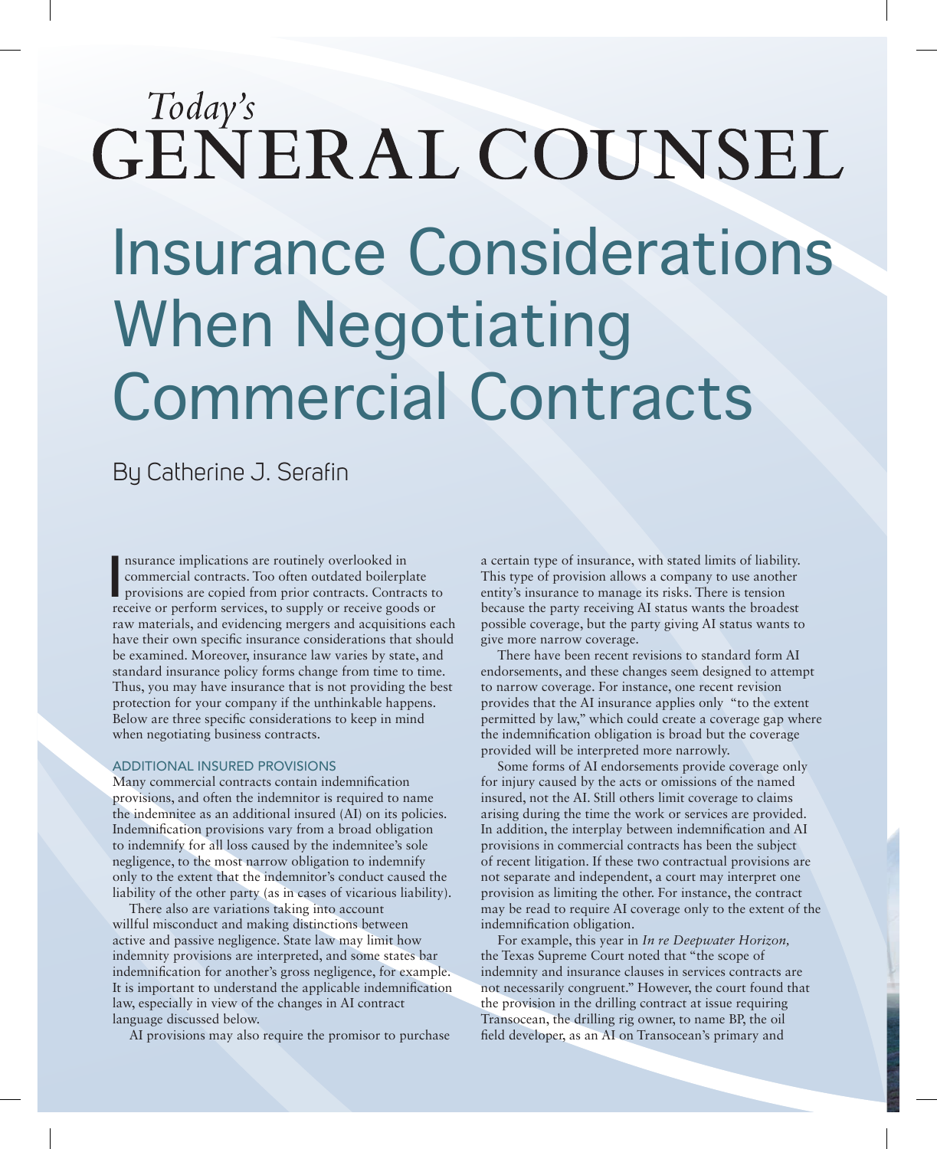# Today's GENERAL COUNSEL

## Insurance Considerations When Negotiating Commercial Contracts

By Catherine J. Serafin

**I** nsurance implications are routinely overlooked in commercial contracts. Too often outdated boilerplate provisions are copied from prior contracts. Contracts to receive or perform services, to supply or receive goods or nsurance implications are routinely overlooked in commercial contracts. Too often outdated boilerplate provisions are copied from prior contracts. Contracts to raw materials, and evidencing mergers and acquisitions each have their own specific insurance considerations that should be examined. Moreover, insurance law varies by state, and standard insurance policy forms change from time to time. Thus, you may have insurance that is not providing the best protection for your company if the unthinkable happens. Below are three specific considerations to keep in mind when negotiating business contracts.

#### ADDITIONAL INSURED PROVISIONS

Many commercial contracts contain indemnification provisions, and often the indemnitor is required to name the indemnitee as an additional insured (AI) on its policies. Indemnification provisions vary from a broad obligation to indemnify for all loss caused by the indemnitee's sole negligence, to the most narrow obligation to indemnify only to the extent that the indemnitor's conduct caused the liability of the other party (as in cases of vicarious liability).

There also are variations taking into account willful misconduct and making distinctions between active and passive negligence. State law may limit how indemnity provisions are interpreted, and some states bar indemnification for another's gross negligence, for example. It is important to understand the applicable indemnification law, especially in view of the changes in AI contract language discussed below.

AI provisions may also require the promisor to purchase

a certain type of insurance, with stated limits of liability. This type of provision allows a company to use another entity's insurance to manage its risks. There is tension because the party receiving AI status wants the broadest possible coverage, but the party giving AI status wants to give more narrow coverage.

There have been recent revisions to standard form AI endorsements, and these changes seem designed to attempt to narrow coverage. For instance, one recent revision provides that the AI insurance applies only "to the extent permitted by law," which could create a coverage gap where the indemnification obligation is broad but the coverage provided will be interpreted more narrowly.

Some forms of AI endorsements provide coverage only for injury caused by the acts or omissions of the named insured, not the AI. Still others limit coverage to claims arising during the time the work or services are provided. In addition, the interplay between indemnification and AI provisions in commercial contracts has been the subject of recent litigation. If these two contractual provisions are not separate and independent, a court may interpret one provision as limiting the other. For instance, the contract may be read to require AI coverage only to the extent of the indemnification obligation.

For example, this year in *In re Deepwater Horizon,*  the Texas Supreme Court noted that "the scope of indemnity and insurance clauses in services contracts are not necessarily congruent." However, the court found that the provision in the drilling contract at issue requiring Transocean, the drilling rig owner, to name BP, the oil field developer, as an AI on Transocean's primary and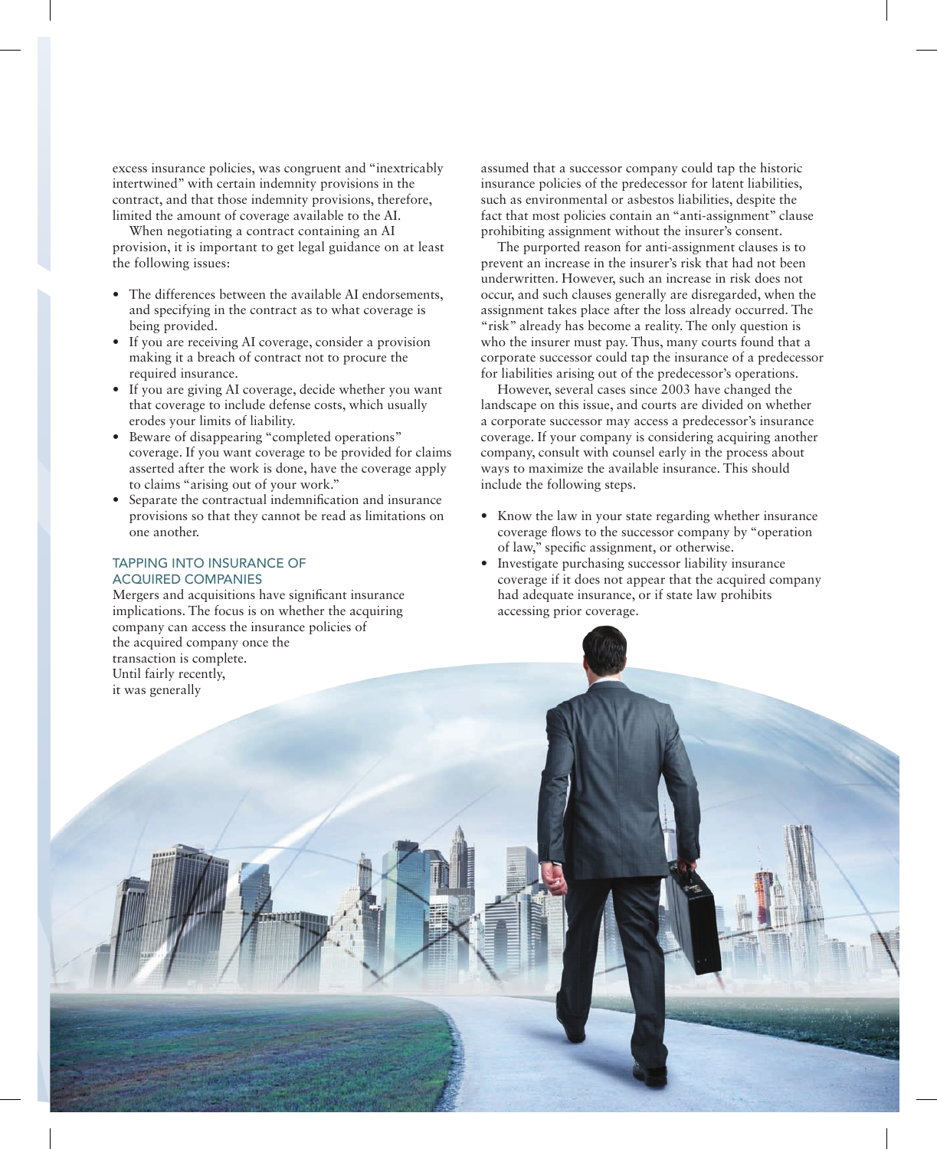excess insurance policies, was congruent and "inextricably intertwined" with certain indemnity provisions in the contract, and that those indemnity provisions, therefore, limited the amount of coverage available to the AI.

When negotiating a contract containing an AI provision, it is important to get legal guidance on at least the following issues:

- The differences between the available AI endorsements, and specifying in the contract as to what coverage is being provided.
- If you are receiving AI coverage, consider a provision making it a breach of contract not to procure the required insurance.
- If you are giving AI coverage, decide whether you want that coverage to include defense costs, which usually erodes your limits of liability.
- Beware of disappearing "completed operations" coverage. If you want coverage to be provided for claims asserted after the work is done, have the coverage apply to claims "arising out of your work."
- Separate the contractual indemnification and insurance provisions so that they cannot be read as limitations on one another.

#### TAPPING INTO INSURANCE OF ACQUIRED COMPANIES

Mergers and acquisitions have significant insurance implications. The focus is on whether the acquiring company can access the insurance policies of the acquired company once the transaction is complete. Until fairly recently, it was generally

assumed that a successor company could tap the historic insurance policies of the predecessor for latent liabilities, such as environmental or asbestos liabilities, despite the fact that most policies contain an "anti-assignment" clause prohibiting assignment without the insurer's consent.

The purported reason for anti-assignment clauses is to prevent an increase in the insurer's risk that had not been underwritten. However, such an increase in risk does not occur, and such clauses generally are disregarded, when the assignment takes place after the loss already occurred. The "risk" already has become a reality. The only question is who the insurer must pay. Thus, many courts found that a corporate successor could tap the insurance of a predecessor for liabilities arising out of the predecessor's operations.

However, several cases since 2003 have changed the landscape on this issue, and courts are divided on whether a corporate successor may access a predecessor's insurance coverage. If your company is considering acquiring another company, consult with counsel early in the process about ways to maximize the available insurance. This should include the following steps.

- Know the law in your state regarding whether insurance coverage flows to the successor company by "operation of law," specific assignment, or otherwise.
- Investigate purchasing successor liability insurance coverage if it does not appear that the acquired company had adequate insurance, or if state law prohibits accessing prior coverage.